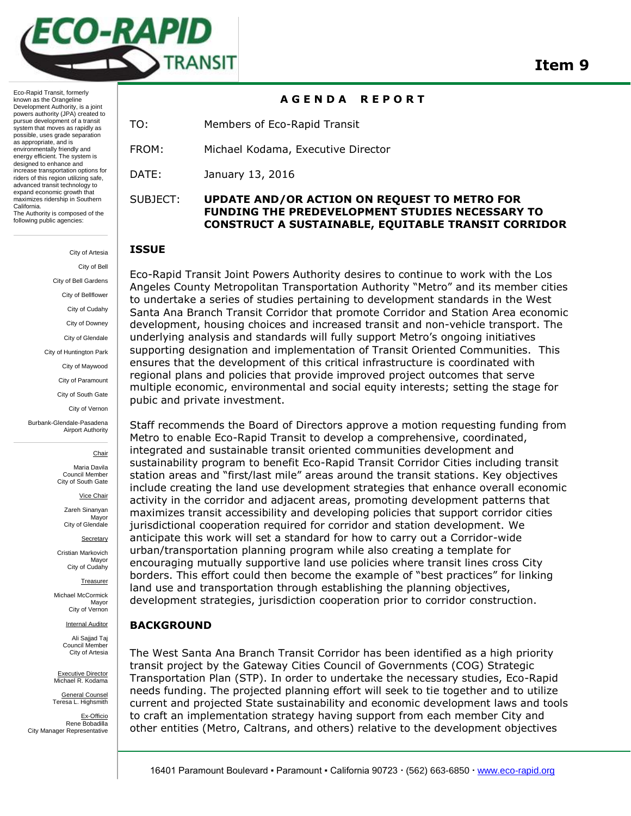

**A G E N D A R E P O R T** 

TO: Members of Eco-Rapid Transit

FROM: Michael Kodama, Executive Director

DATE: January 13, 2016

## SUBJECT: **UPDATE AND/OR ACTION ON REQUEST TO METRO FOR FUNDING THE PREDEVELOPMENT STUDIES NECESSARY TO CONSTRUCT A SUSTAINABLE, EQUITABLE TRANSIT CORRIDOR**

### **ISSUE**

Eco-Rapid Transit Joint Powers Authority desires to continue to work with the Los Angeles County Metropolitan Transportation Authority "Metro" and its member cities to undertake a series of studies pertaining to development standards in the West Santa Ana Branch Transit Corridor that promote Corridor and Station Area economic development, housing choices and increased transit and non-vehicle transport. The underlying analysis and standards will fully support Metro's ongoing initiatives supporting designation and implementation of Transit Oriented Communities. This ensures that the development of this critical infrastructure is coordinated with regional plans and policies that provide improved project outcomes that serve multiple economic, environmental and social equity interests; setting the stage for pubic and private investment.

Staff recommends the Board of Directors approve a motion requesting funding from Metro to enable Eco-Rapid Transit to develop a comprehensive, coordinated, integrated and sustainable transit oriented communities development and sustainability program to benefit Eco-Rapid Transit Corridor Cities including transit station areas and "first/last mile" areas around the transit stations. Key objectives include creating the land use development strategies that enhance overall economic activity in the corridor and adjacent areas, promoting development patterns that maximizes transit accessibility and developing policies that support corridor cities jurisdictional cooperation required for corridor and station development. We anticipate this work will set a standard for how to carry out a Corridor-wide urban/transportation planning program while also creating a template for encouraging mutually supportive land use policies where transit lines cross City borders. This effort could then become the example of "best practices" for linking land use and transportation through establishing the planning objectives, development strategies, jurisdiction cooperation prior to corridor construction.

### **BACKGROUND**

The West Santa Ana Branch Transit Corridor has been identified as a high priority transit project by the Gateway Cities Council of Governments (COG) Strategic Transportation Plan (STP). In order to undertake the necessary studies, Eco-Rapid needs funding. The projected planning effort will seek to tie together and to utilize current and projected State sustainability and economic development laws and tools to craft an implementation strategy having support from each member City and other entities (Metro, Caltrans, and others) relative to the development objectives

Eco-Rapid Transit, formerly known as the Orangeline Development Authority, is a joint powers authority (JPA) created to pursue development of a transit system that moves as rapidly as possible, uses grade separation as appropriate, and is environmentally friendly and energy efficient. The system is designed to enhance and increase transportation options for riders of this region utilizing safe, advanced transit technology to expand economic growth that maximizes ridership in Southern California. The Authority is composed of the following public agencies:

> City of Artesia City of Bell City of Bell Gardens City of Bellflower City of Cudahy City of Downey City of Glendale City of Huntington Park City of Maywood City of Paramount City of South Gate City of Vernon Burbank-Glendale-Pasadena

> > **Chair**

Maria Davila Council Member City of South Gate

Airport Authority

Vice Chair

Zareh Sinanyan Mayor City of Glendale

**Secretary** Cristian Markovich

Mayor City of Cudahy

**Treasurer** 

Michael McCormick Mayor City of Vernon

Internal Auditor

Ali Sajjad Taj Council Member City of Artesia

Executive Director Michael R. Kodama

General Counsel Teresa L. Highsmith

Ex-Officio Rene Bobadilla City Manager Representative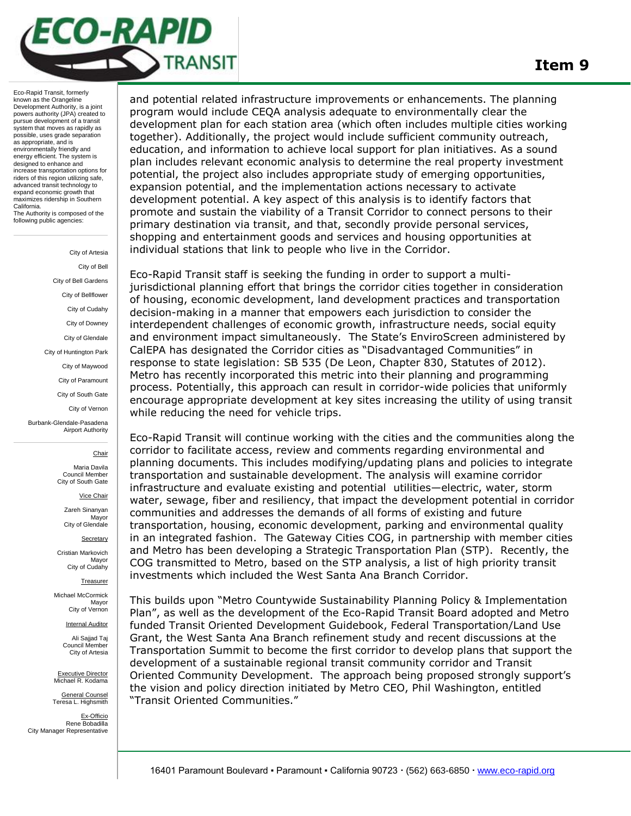# CO-RAPID TRANSIT

Eco-Rapid Transit, formerly known as the Orangeline Development Authority, is a joint powers authority (JPA) created to pursue development of a transit system that moves as rapidly as possible, uses grade separation as appropriate, and is environmentally friendly and energy efficient. The system is designed to enhance and increase transportation options for riders of this region utilizing safe, advanced transit technology to expand economic growth that maximizes ridership in Southern California. The Authority is composed of the following public agencies:

> City of Artesia City of Bell City of Bell Gardens City of Bellflower City of Cudahy City of Downey City of Glendale City of Huntington Park City of Maywood City of Paramount City of South Gate City of Vernon Burbank-Glendale-Pasadena Airport Authority **Chair** Maria Davila

Council Member City of South Gate

Vice Chair

Zareh Sinanyan Mayor City of Glendale

**Secretary** 

Cristian Markovich Mayor City of Cudahy

Treasurer

Michael McCormick Mayor City of Vernon

Internal Auditor

Ali Sajjad Taj Council Member City of Artesia

Executive Director Michael R. Kodama

General Counsel Teresa L. Highsmith

Ex-Officio Rene Bobadilla City Manager Representative

and potential related initiast dcture improvements or emiantements. The planning<br>program would include CEQA analysis adequate to environmentally clear the<br>development plan for each station area (which often includes multip and potential related infrastructure improvements or enhancements. The planning program would include CEQA analysis adequate to environmentally clear the together). Additionally, the project would include sufficient community outreach, education, and information to achieve local support for plan initiatives. As a sound plan includes relevant economic analysis to determine the real property investment potential, the project also includes appropriate study of emerging opportunities, expansion potential, and the implementation actions necessary to activate development potential. A key aspect of this analysis is to identify factors that promote and sustain the viability of a Transit Corridor to connect persons to their primary destination via transit, and that, secondly provide personal services, shopping and entertainment goods and services and housing opportunities at individual stations that link to people who live in the Corridor.

Eco-Rapid Transit staff is seeking the funding in order to support a multijurisdictional planning effort that brings the corridor cities together in consideration of housing, economic development, land development practices and transportation decision-making in a manner that empowers each jurisdiction to consider the interdependent challenges of economic growth, infrastructure needs, social equity and environment impact simultaneously. The State's EnviroScreen administered by CalEPA has designated the Corridor cities as "Disadvantaged Communities" in response to state legislation: SB 535 (De Leon, Chapter 830, Statutes of 2012). Metro has recently incorporated this metric into their planning and programming process. Potentially, this approach can result in corridor-wide policies that uniformly encourage appropriate development at key sites increasing the utility of using transit while reducing the need for vehicle trips.

Eco-Rapid Transit will continue working with the cities and the communities along the corridor to facilitate access, review and comments regarding environmental and planning documents. This includes modifying/updating plans and policies to integrate transportation and sustainable development. The analysis will examine corridor infrastructure and evaluate existing and potential utilities—electric, water, storm water, sewage, fiber and resiliency, that impact the development potential in corridor communities and addresses the demands of all forms of existing and future transportation, housing, economic development, parking and environmental quality in an integrated fashion. The Gateway Cities COG, in partnership with member cities and Metro has been developing a Strategic Transportation Plan (STP). Recently, the COG transmitted to Metro, based on the STP analysis, a list of high priority transit investments which included the West Santa Ana Branch Corridor.

This builds upon "Metro Countywide Sustainability Planning Policy & Implementation Plan", as well as the development of the Eco-Rapid Transit Board adopted and Metro funded Transit Oriented Development Guidebook, Federal Transportation/Land Use Grant, the West Santa Ana Branch refinement study and recent discussions at the Transportation Summit to become the first corridor to develop plans that support the development of a sustainable regional transit community corridor and Transit Oriented Community Development. The approach being proposed strongly support's the vision and policy direction initiated by Metro CEO, Phil Washington, entitled "Transit Oriented Communities."